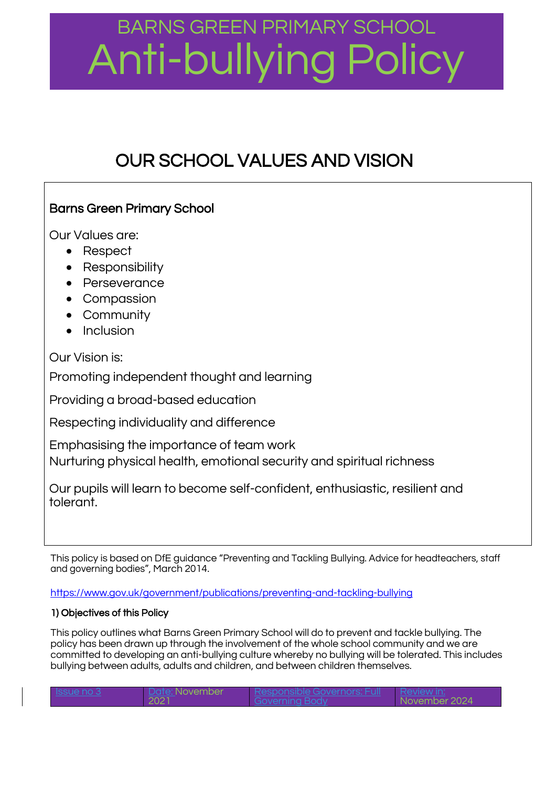### BARNS GREEN PRIMARY SCHOOL Anti-bullying Policy

### OUR SCHOOL VALUES AND VISION

### Barns Green Primary School

Our Values are:

- Respect
- Responsibility
- Perseverance
- Compassion
- Community
- Inclusion

Our Vision is:

Promoting independent thought and learning

Providing a broad-based education

Respecting individuality and difference

Emphasising the importance of team work Nurturing physical health, emotional security and spiritual richness

Our pupils will learn to become self-confident, enthusiastic, resilient and tolerant.

This policy is based on DfE guidance "Preventing and Tackling Bullying. Advice for headteachers, staff and governing bodies", March 2014.

<https://www.gov.uk/government/publications/preventing-and-tackling-bullying>

### 1) Objectives of this Policy

This policy outlines what Barns Green Primary School will do to prevent and tackle bullying. The policy has been drawn up through the involvement of the whole school community and we are committed to developing an anti-bullying culture whereby no bullying will be tolerated. This includes bullying between adults, adults and children, and between children themselves.

| - Issue no 3 | <b>November</b> |                |
|--------------|-----------------|----------------|
|              |                 | -November 2024 |
|              |                 |                |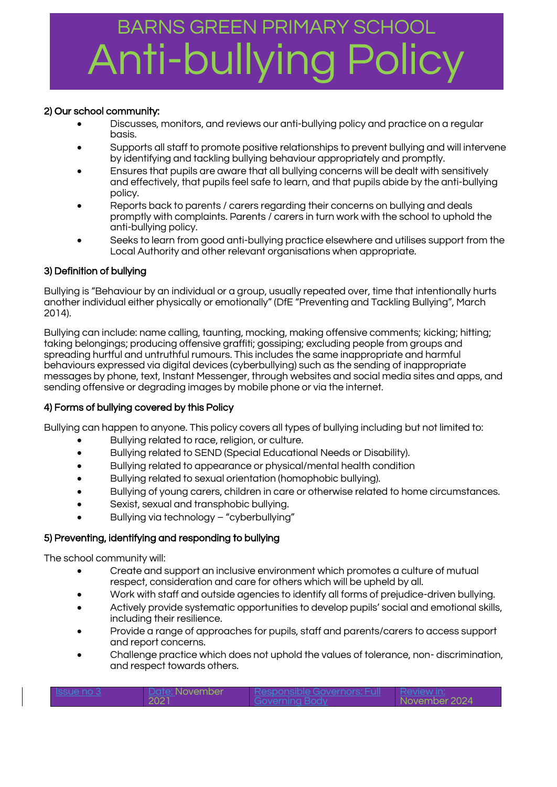# BARNS GREEN PRIMARY SCHOOL nti-bullying

### 2) Our school community:

- Discusses, monitors, and reviews our anti-bullying policy and practice on a regular basis.
- Supports all staff to promote positive relationships to prevent bullying and will intervene by identifying and tackling bullying behaviour appropriately and promptly.
- Ensures that pupils are aware that all bullying concerns will be dealt with sensitively and effectively, that pupils feel safe to learn, and that pupils abide by the anti-bullying policy.
- Reports back to parents / carers regarding their concerns on bullying and deals promptly with complaints. Parents / carers in turn work with the school to uphold the anti-bullying policy.
- Seeks to learn from good anti-bullying practice elsewhere and utilises support from the Local Authority and other relevant organisations when appropriate.

### 3) Definition of bullying

Bullying is "Behaviour by an individual or a group, usually repeated over, time that intentionally hurts another individual either physically or emotionally" (DfE "Preventing and Tackling Bullying", March 2014).

Bullying can include: name calling, taunting, mocking, making offensive comments; kicking; hitting; taking belongings; producing offensive graffiti; gossiping; excluding people from groups and spreading hurtful and untruthful rumours. This includes the same inappropriate and harmful behaviours expressed via digital devices (cyberbullying) such as the sending of inappropriate messages by phone, text, Instant Messenger, through websites and social media sites and apps, and sending offensive or degrading images by mobile phone or via the internet.

#### 4) Forms of bullying covered by this Policy

Bullying can happen to anyone. This policy covers all types of bullying including but not limited to:

- Bullying related to race, religion, or culture.
- Bullying related to SEND (Special Educational Needs or Disability).
- Bullying related to appearance or physical/mental health condition
- Bullying related to sexual orientation (homophobic bullying).
- Bullying of young carers, children in care or otherwise related to home circumstances.
- Sexist, sexual and transphobic bullying.
- Bullying via technology "cyberbullying"

#### 5) Preventing, identifying and responding to bullying Ĩ

The school community will:

- Create and support an inclusive environment which promotes a culture of mutual respect, consideration and care for others which will be upheld by all.
- Work with staff and outside agencies to identify all forms of prejudice-driven bullying.
- Actively provide systematic opportunities to develop pupils' social and emotional skills, including their resilience.
- Provide a range of approaches for pupils, staff and parents/carers to access support and report concerns.
- Challenge practice which does not uphold the values of tolerance, non- discrimination, and respect towards others.

| $\sqrt{2}$ |  | זבזר<br>$\sqrt{2}$ |
|------------|--|--------------------|
|------------|--|--------------------|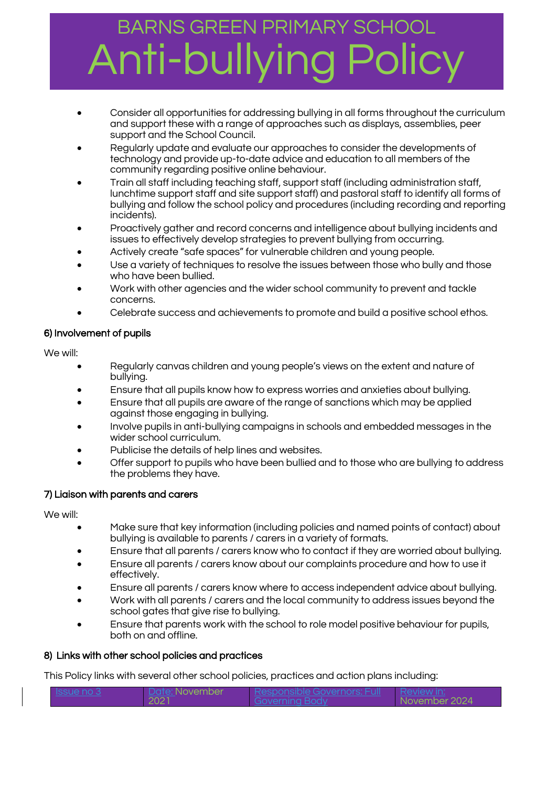# BARNS GREEN PRIMARY SCHOOL hti-bullvi

- Consider all opportunities for addressing bullying in all forms throughout the curriculum and support these with a range of approaches such as displays, assemblies, peer support and the School Council.
- Regularly update and evaluate our approaches to consider the developments of technology and provide up-to-date advice and education to all members of the community regarding positive online behaviour.
- Train all staff including teaching staff, support staff (including administration staff, lunchtime support staff and site support staff) and pastoral staff to identify all forms of bullying and follow the school policy and procedures (including recording and reporting incidents).
- Proactively gather and record concerns and intelligence about bullying incidents and issues to effectively develop strategies to prevent bullying from occurring.
- Actively create "safe spaces" for vulnerable children and young people.
- Use a variety of techniques to resolve the issues between those who bully and those who have been bullied.
- Work with other agencies and the wider school community to prevent and tackle concerns.
- Celebrate success and achievements to promote and build a positive school ethos.

### 6) Involvement of pupils

We will:

- Regularly canvas children and young people's views on the extent and nature of bullying.
- Ensure that all pupils know how to express worries and anxieties about bullying.
- Ensure that all pupils are aware of the range of sanctions which may be applied against those engaging in bullying.
- Involve pupils in anti-bullying campaigns in schools and embedded messages in the wider school curriculum.
- Publicise the details of help lines and websites.
- Offer support to pupils who have been bullied and to those who are bullying to address the problems they have.

### 7) Liaison with parents and carers

We will:

- Make sure that key information (including policies and named points of contact) about bullying is available to parents / carers in a variety of formats.
- Ensure that all parents / carers know who to contact if they are worried about bullying.
- Ensure all parents / carers know about our complaints procedure and how to use it effectively.
- Ensure all parents / carers know where to access independent advice about bullying.
- Work with all parents / carers and the local community to address issues beyond the school gates that give rise to bullying.
- Ensure that parents work with the school to role model positive behaviour for pupils, both on and offline.

### 8) Links with other school policies and practices

This Policy links with several other school policies, practices and action plans including:

|  |  | 'ull | ست |
|--|--|------|----|
|--|--|------|----|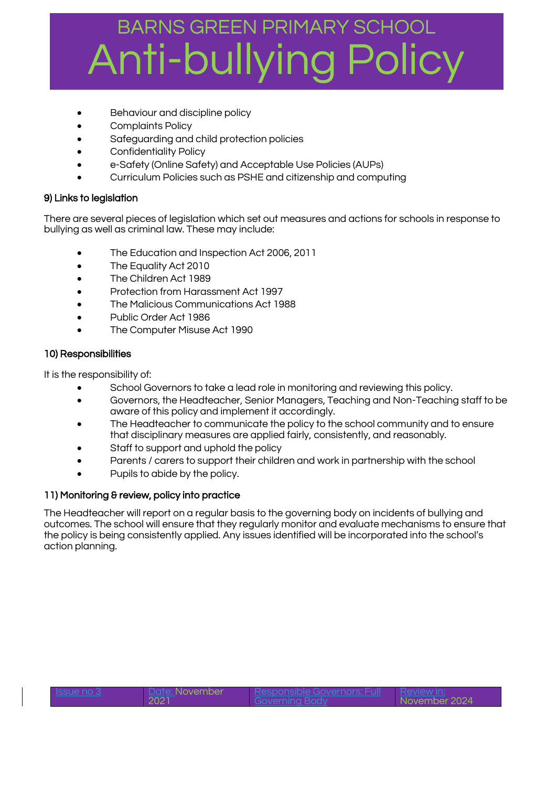### BARNS GREEN PRIMARY SCHOOL Anti-bullying

- Behaviour and discipline policy
- Complaints Policy
- Safeguarding and child protection policies
- Confidentiality Policy
- e-Safety (Online Safety) and Acceptable Use Policies (AUPs)
- Curriculum Policies such as PSHE and citizenship and computing

#### 9) Links to legislation

There are several pieces of legislation which set out measures and actions for schools in response to bullying as well as criminal law. These may include:

- The Education and Inspection Act 2006, 2011
- The Equality Act 2010
- The Children Act 1989
- Protection from Harassment Act 1997
- The Malicious Communications Act 1988
- Public Order Act 1986
- The Computer Misuse Act 1990

#### 10) Responsibilities

It is the responsibility of:

- School Governors to take a lead role in monitoring and reviewing this policy.
- Governors, the Headteacher, Senior Managers, Teaching and Non-Teaching staff to be aware of this policy and implement it accordingly.
- The Headteacher to communicate the policy to the school community and to ensure that disciplinary measures are applied fairly, consistently, and reasonably.
- Staff to support and uphold the policy
- Parents / carers to support their children and work in partnership with the school
- Pupils to abide by the policy.

#### 11) Monitoring & review, policy into practice

The Headteacher will report on a regular basis to the governing body on incidents of bullying and outcomes. The school will ensure that they regularly monitor and evaluate mechanisms to ensure that the policy is being consistently applied. Any issues identified will be incorporated into the school's action planning.

| ISSUA NO<br>ur |  |
|----------------|--|
|----------------|--|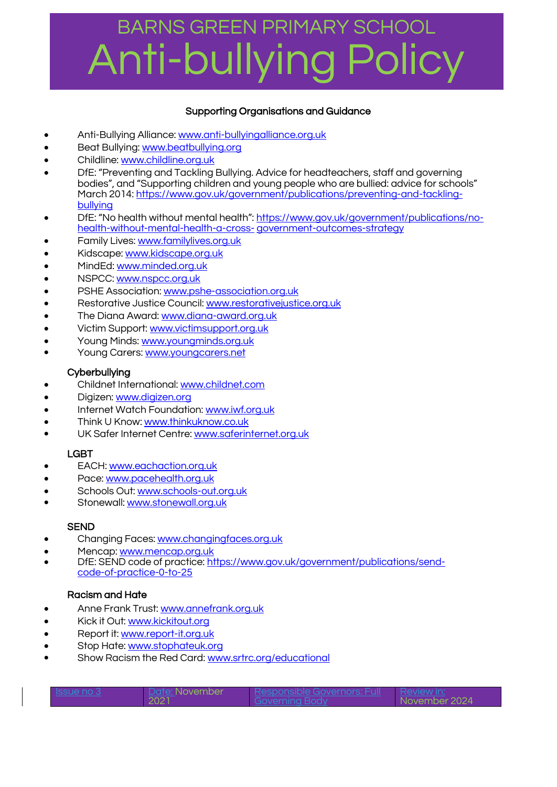### BARNS GREEN PRIMARY SCHOOL Anti-bullying Policy

### Supporting Organisations and Guidance

- Anti-Bullying Alliance[: www.anti-bullyingalliance.org.uk](http://www.anti-bullyingalliance.org.uk/)
- Beat Bullying: [www.beatbullying.org](http://www.beatbullying.org/)
- Childline[: www.childline.org.uk](http://www.childline.org.uk/)
- DfE: "Preventing and Tackling Bullying. Advice for headteachers, staff and governing bodies", and ["Supporting children and young people who are bullied: advice for schools"](https://www.gov.uk/government/uploads/system/uploads/attachment_data/file/292505/supporting_bullied_children_advice.pdf) March 2014[: https://www.gov.uk/government/publications/preventing-and-tackling](https://www.gov.uk/government/publications/preventing-and-tackling-bullying)[bullying](https://www.gov.uk/government/publications/preventing-and-tackling-bullying)
- DfE: "No health without mental health": [https://www.gov.uk/government/publications/no](https://www.gov.uk/government/publications/no-health-without-mental-health-a-cross-)[health-without-mental-health-a-cross-](https://www.gov.uk/government/publications/no-health-without-mental-health-a-cross-) [government-outcomes-strategy](https://www.gov.uk/government/publications/no-health-without-mental-health-a-cross-government-outcomes-strategy)
- Family Lives[: www.familylives.org.uk](http://www.familylives.org.uk/)
- Kidscape: [www.kidscape.org.uk](http://www.kidscape.org.uk/)
- MindEd[: www.minded.org.uk](http://www.minded.org.uk/)
- NSPCC[: www.nspcc.org.uk](http://www.nspcc.org.uk/)
- PSHE Association: [www.pshe-association.org.uk](http://www.pshe-association.org.uk/)
- Restorative Justice Council[: www.restorativejustice.org.uk](http://www.restorativejustice.org.uk/)
- The Diana Award[: www.diana-award.org.uk](http://www.diana-award.org.uk/)
- Victim Support: [www.victimsupport.org.uk](http://www.victimsupport.org.uk/)
- Young Minds[: www.youngminds.org.uk](http://www.youngminds.org.uk/)
- Young Carers: [www.youngcarers.net](http://www.youngcarers.net/)

### **Cyberbullying**

- Childnet International: [www.childnet.com](http://www.childnet.com/)
- Digizen: [www.digizen.org](http://www.digizen.org/)
- Internet Watch Foundation: [www.iwf.org.uk](http://www.iwf.org.uk/)
- Think U Know[: www.thinkuknow.co.uk](http://www.thinkuknow.co.uk/)
- UK Safer Internet Centre: [www.saferinternet.org.uk](http://www.saferinternet.org.uk/)

### LGBT

- EACH: [www.eachaction.org.uk](http://www.eachaction.org.uk/)
- Pace: [www.pacehealth.org.uk](http://www.pacehealth.org.uk/)
- Schools Out: [www.schools-out.org.uk](http://www.schools-out.org.uk/)
- Stonewall: [www.stonewall.org.uk](http://www.stonewall.org.uk/)

### **SEND**

- Changing Faces[: www.changingfaces.org.uk](http://www.changingfaces.org.uk/)
- Mencap: [www.mencap.org.uk](http://www.mencap.org.uk/)
- DfE: SEND code of practice[: https://www.gov.uk/government/publications/send](https://www.gov.uk/government/publications/send-code-of-practice-0-to-25)[code-of-practice-0-to-25](https://www.gov.uk/government/publications/send-code-of-practice-0-to-25)

### Racism and Hate

- Anne Frank Trust: [www.annefrank.org.uk](http://www.annefrank.org.uk/)
- Kick it Out: [www.kickitout.org](http://www.kickitout.org/)
- Report it[: www.report-it.org.uk](http://www.report-it.org.uk/)
- Stop Hate: [www.stophateuk.org](http://www.stophateuk.org/)
- Show Racism the Red Card: [www.srtrc.org/educational](http://www.srtrc.org/educational)

| SHA NOV | INOVAMDAr | <u>- Cwernors - </u> |             |
|---------|-----------|----------------------|-------------|
|         |           |                      |             |
|         |           |                      |             |
|         |           |                      | INIOVAMDARI |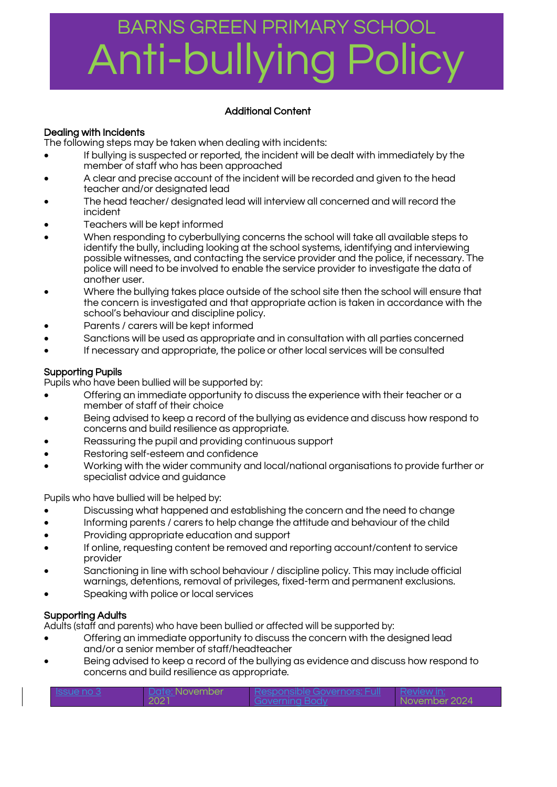### BARNS GREEN PRIMARY SCHOOL Anti-bull<sup>,</sup>

### Additional Content

### Dealing with Incidents

The following steps may be taken when dealing with incidents:

- If bullying is suspected or reported, the incident will be dealt with immediately by the member of staff who has been approached
- A clear and precise account of the incident will be recorded and given to the head teacher and/or designated lead
- The head teacher/ designated lead will interview all concerned and will record the incident
- Teachers will be kept informed
- When responding to cyberbullying concerns the school will take all available steps to identify the bully, including looking at the school systems, identifying and interviewing possible witnesses, and contacting the service provider and the police, if necessary. The police will need to be involved to enable the service provider to investigate the data of another user.
- Where the bullying takes place outside of the school site then the school will ensure that the concern is investigated and that appropriate action is taken in accordance with the school's behaviour and discipline policy.
- Parents / carers will be kept informed
- Sanctions will be used as appropriate and in consultation with all parties concerned
- If necessary and appropriate, the police or other local services will be consulted

### Supporting Pupils

Pupils who have been bullied will be supported by:

- Offering an immediate opportunity to discuss the experience with their teacher or a member of staff of their choice
- Being advised to keep a record of the bullying as evidence and discuss how respond to concerns and build resilience as appropriate.
- Reassuring the pupil and providing continuous support
- Restoring self-esteem and confidence
- Working with the wider community and local/national organisations to provide further or specialist advice and guidance

Pupils who have bullied will be helped by:

- Discussing what happened and establishing the concern and the need to change
- Informing parents / carers to help change the attitude and behaviour of the child
- Providing appropriate education and support
- If online, requesting content be removed and reporting account/content to service provider
- Sanctioning in line with school behaviour / discipline policy. This may include official warnings, detentions, removal of privileges, fixed-term and permanent exclusions.
- Speaking with police or local services

### Supporting Adults

Adults (staff and parents) who have been bullied or affected will be supported by:

- Offering an immediate opportunity to discuss the concern with the designed lead and/or a senior member of staff/headteacher
- Being advised to keep a record of the bullying as evidence and discuss how respond to concerns and build resilience as appropriate.